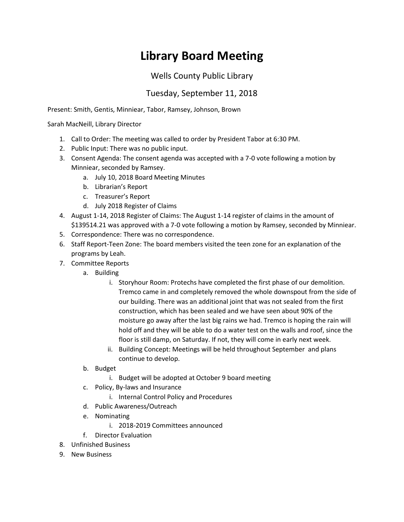## **Library Board Meeting**

## Wells County Public Library

## Tuesday, September 11, 2018

Present: Smith, Gentis, Minniear, Tabor, Ramsey, Johnson, Brown

Sarah MacNeill, Library Director

- 1. Call to Order: The meeting was called to order by President Tabor at 6:30 PM.
- 2. Public Input: There was no public input.
- 3. Consent Agenda: The consent agenda was accepted with a 7-0 vote following a motion by Minniear, seconded by Ramsey.
	- a. July 10, 2018 Board Meeting Minutes
	- b. Librarian's Report
	- c. Treasurer's Report
	- d. July 2018 Register of Claims
- 4. August 1-14, 2018 Register of Claims: The August 1-14 register of claims in the amount of \$139514.21 was approved with a 7-0 vote following a motion by Ramsey, seconded by Minniear.
- 5. Correspondence: There was no correspondence.
- 6. Staff Report-Teen Zone: The board members visited the teen zone for an explanation of the programs by Leah.
- 7. Committee Reports
	- a. Building
		- i. Storyhour Room: Protechs have completed the first phase of our demolition. Tremco came in and completely removed the whole downspout from the side of our building. There was an additional joint that was not sealed from the first construction, which has been sealed and we have seen about 90% of the moisture go away after the last big rains we had. Tremco is hoping the rain will hold off and they will be able to do a water test on the walls and roof, since the floor is still damp, on Saturday. If not, they will come in early next week.
		- ii. Building Concept: Meetings will be held throughout September and plans continue to develop.
	- b. Budget
		- i. Budget will be adopted at October 9 board meeting
	- c. Policy, By-laws and Insurance
		- i. Internal Control Policy and Procedures
	- d. Public Awareness/Outreach
	- e. Nominating
		- i. 2018-2019 Committees announced
	- f. Director Evaluation
- 8. Unfinished Business
- 9. New Business